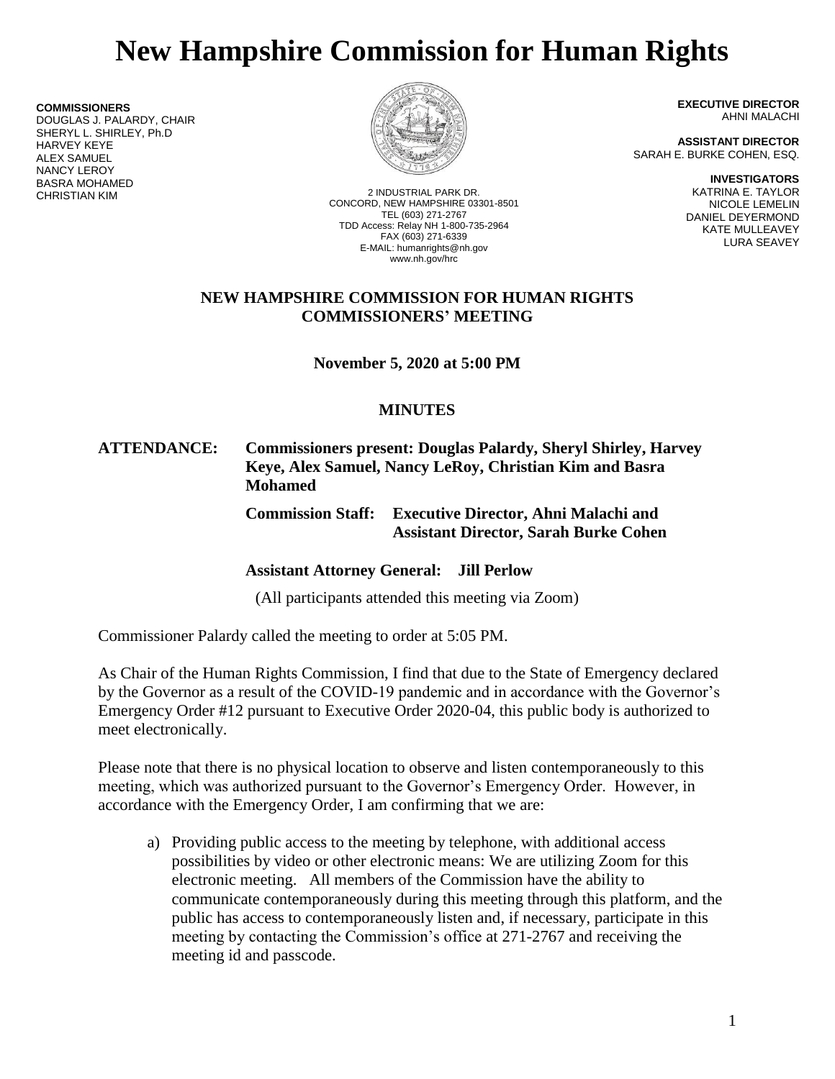# **New Hampshire Commission for Human Rights**

**COMMISSIONERS** DOUGLAS J. PALARDY, CHAIR SHERYL L. SHIRLEY, Ph.D HARVEY KEYE ALEX SAMUEL NANCY LEROY BASRA MOHAMED



2 INDUSTRIAL PARK DR. CONCORD, NEW HAMPSHIRE 03301-8501 TEL (603) 271-2767 TDD Access: Relay NH 1-800-735-2964 FAX (603) 271-6339 E-MAIL: humanrights@nh.gov www.nh.gov/hrc

**EXECUTIVE DIRECTOR** AHNI MALACHI

**ASSISTANT DIRECTOR** SARAH E. BURKE COHEN, ESQ.

> **INVESTIGATORS** KATRINA E. TAYLOR NICOLE LEMELIN DANIEL DEYERMOND KATE MULLEAVEY LURA SEAVEY

#### **NEW HAMPSHIRE COMMISSION FOR HUMAN RIGHTS COMMISSIONERS' MEETING**

**November 5, 2020 at 5:00 PM**

# **MINUTES**

## **ATTENDANCE: Commissioners present: Douglas Palardy, Sheryl Shirley, Harvey Keye, Alex Samuel, Nancy LeRoy, Christian Kim and Basra Mohamed**

**Commission Staff: Executive Director, Ahni Malachi and Assistant Director, Sarah Burke Cohen**

# **Assistant Attorney General: Jill Perlow**

(All participants attended this meeting via Zoom)

Commissioner Palardy called the meeting to order at 5:05 PM.

As Chair of the Human Rights Commission, I find that due to the State of Emergency declared by the Governor as a result of the COVID-19 pandemic and in accordance with the Governor's Emergency Order #12 pursuant to Executive Order 2020-04, this public body is authorized to meet electronically.

Please note that there is no physical location to observe and listen contemporaneously to this meeting, which was authorized pursuant to the Governor's Emergency Order. However, in accordance with the Emergency Order, I am confirming that we are:

a) Providing public access to the meeting by telephone, with additional access possibilities by video or other electronic means: We are utilizing Zoom for this electronic meeting. All members of the Commission have the ability to communicate contemporaneously during this meeting through this platform, and the public has access to contemporaneously listen and, if necessary, participate in this meeting by contacting the Commission's office at 271-2767 and receiving the meeting id and passcode.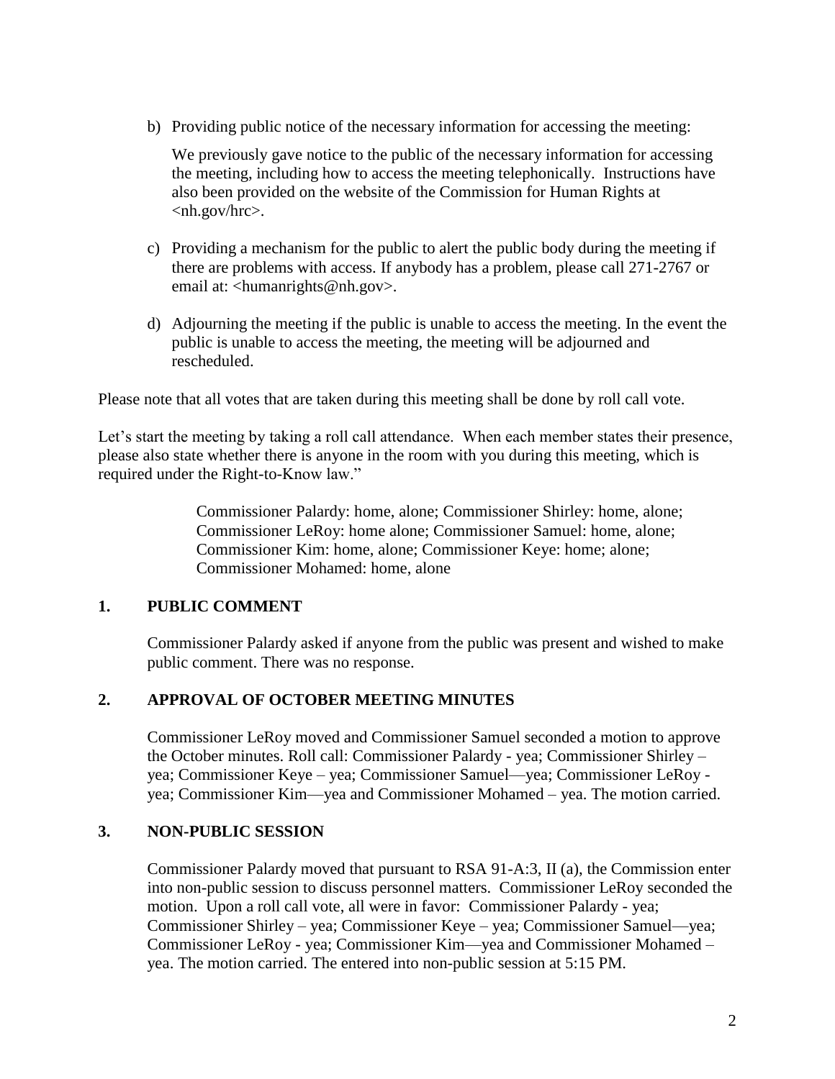b) Providing public notice of the necessary information for accessing the meeting:

We previously gave notice to the public of the necessary information for accessing the meeting, including how to access the meeting telephonically. Instructions have also been provided on the website of the Commission for Human Rights at <nh.gov/hrc>.

- c) Providing a mechanism for the public to alert the public body during the meeting if there are problems with access. If anybody has a problem, please call 271-2767 or email at: <humanrights@nh.gov>.
- d) Adjourning the meeting if the public is unable to access the meeting. In the event the public is unable to access the meeting, the meeting will be adjourned and rescheduled.

Please note that all votes that are taken during this meeting shall be done by roll call vote.

Let's start the meeting by taking a roll call attendance. When each member states their presence, please also state whether there is anyone in the room with you during this meeting, which is required under the Right-to-Know law."

> Commissioner Palardy: home, alone; Commissioner Shirley: home, alone; Commissioner LeRoy: home alone; Commissioner Samuel: home, alone; Commissioner Kim: home, alone; Commissioner Keye: home; alone; Commissioner Mohamed: home, alone

## **1. PUBLIC COMMENT**

Commissioner Palardy asked if anyone from the public was present and wished to make public comment. There was no response.

## **2. APPROVAL OF OCTOBER MEETING MINUTES**

Commissioner LeRoy moved and Commissioner Samuel seconded a motion to approve the October minutes. Roll call: Commissioner Palardy - yea; Commissioner Shirley – yea; Commissioner Keye – yea; Commissioner Samuel—yea; Commissioner LeRoy yea; Commissioner Kim—yea and Commissioner Mohamed – yea. The motion carried.

## **3. NON-PUBLIC SESSION**

Commissioner Palardy moved that pursuant to RSA 91-A:3, II (a), the Commission enter into non-public session to discuss personnel matters. Commissioner LeRoy seconded the motion. Upon a roll call vote, all were in favor: Commissioner Palardy - yea; Commissioner Shirley – yea; Commissioner Keye – yea; Commissioner Samuel—yea; Commissioner LeRoy - yea; Commissioner Kim—yea and Commissioner Mohamed – yea. The motion carried. The entered into non-public session at 5:15 PM.